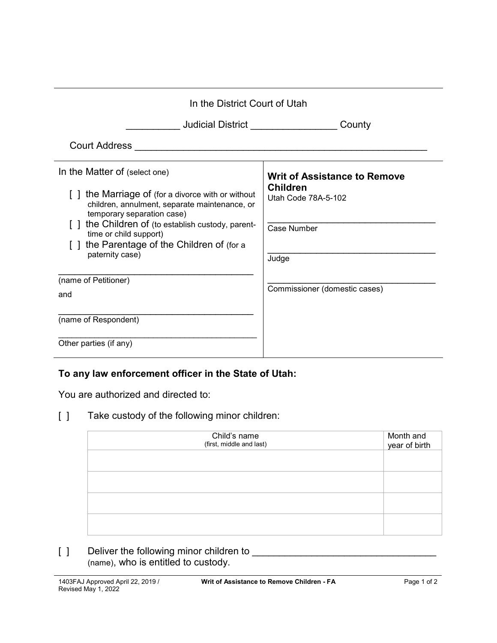| In the District Court of Utah                                                                                                                                                                                                                                                                            |                                                                                                       |  |
|----------------------------------------------------------------------------------------------------------------------------------------------------------------------------------------------------------------------------------------------------------------------------------------------------------|-------------------------------------------------------------------------------------------------------|--|
| <b>Judicial District Contract Contract Contract Contract Contract Contract Control</b>                                                                                                                                                                                                                   | County                                                                                                |  |
| <b>Court Address</b>                                                                                                                                                                                                                                                                                     |                                                                                                       |  |
| In the Matter of (select one)<br>the Marriage of (for a divorce with or without<br>children, annulment, separate maintenance, or<br>temporary separation case)<br>the Children of (to establish custody, parent-<br>time or child support)<br>the Parentage of the Children of (for a<br>paternity case) | <b>Writ of Assistance to Remove</b><br><b>Children</b><br>Utah Code 78A-5-102<br>Case Number<br>Judge |  |
| (name of Petitioner)<br>and<br>(name of Respondent)<br>Other parties (if any)                                                                                                                                                                                                                            | Commissioner (domestic cases)                                                                         |  |
|                                                                                                                                                                                                                                                                                                          |                                                                                                       |  |

## **To any law enforcement officer in the State of Utah:**

You are authorized and directed to:

[ ] Take custody of the following minor children:

| Child's name<br>(first, middle and last) | Month and<br>year of birth |
|------------------------------------------|----------------------------|
|                                          |                            |
|                                          |                            |
|                                          |                            |
|                                          |                            |

[ ] Deliver the following minor children to \_\_\_\_\_\_\_\_\_\_\_\_\_\_\_\_\_\_\_\_\_\_\_\_\_\_\_\_\_\_\_\_\_\_ (name), who is entitled to custody.